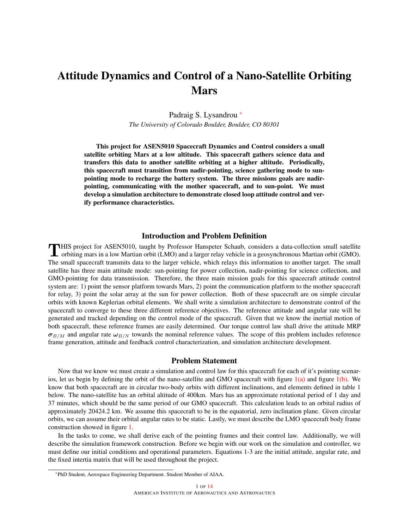# Attitude Dynamics and Control of a Nano-Satellite Orbiting Mars

Padraig S. Lysandrou \* *The University of Colorado Boulder, Boulder, CO 80301*

This project for ASEN5010 Spacecraft Dynamics and Control considers a small satellite orbiting Mars at a low altitude. This spacecraft gathers science data and transfers this data to another satellite orbiting at a higher altitude. Periodically, this spacecraft must transition from nadir-pointing, science gathering mode to sunpointing mode to recharge the battery system. The three missions goals are nadirpointing, communicating with the mother spacecraft, and to sun-point. We must develop a simulation architecture to demonstrate closed loop attitude control and verify performance characteristics.

#### Introduction and Problem Definition

THIS project for ASEN5010, taught by Professor Hanspeter Schaub, considers a data-collection small satellite<br>orbiting mars in a low Martian orbit (LMO) and a larger relay vehicle in a geosynchronous Martian orbit (GMO). orbiting mars in a low Martian orbit (LMO) and a larger relay vehicle in a geosynchronous Martian orbit (GMO). The small spacecraft transmits data to the larger vehicle, which relays this information to another target. The small satellite has three main attitude mode: sun-pointing for power collection, nadir-pointing for science collection, and GMO-pointing for data transmission. Therefore, the three main mission goals for this spacecraft attitude control system are: 1) point the sensor platform towards Mars, 2) point the communication platform to the mother spacecraft for relay, 3) point the solar array at the sun for power collection. Both of these spacecraft are on simple circular orbits with known Keplerian orbital elements. We shall write a simulation architecture to demonstrate control of the spacecraft to converge to these three different reference objectives. The reference attitude and angular rate will be generated and tracked depending on the control mode of the spacecraft. Given that we know the inertial motion of both spacecraft, these reference frames are easily determined. Our torque control law shall drive the attitude MRP  $\sigma_{B/M}$  and angular rate  $\omega_{B/N}$  towards the nominal reference values. The scope of this problem includes reference frame generation, attitude and feedback control characterization, and simulation architecture development.

#### Problem Statement

Now that we know we must create a simulation and control law for this spacecraft for each of it's pointing scenarios, let us begin by defining the orbit of the nano-satellite and GMO spacecraft with figure  $1(a)$  and figure  $1(b)$ . We know that both spacecraft are in circular two-body orbits with different inclinations, and elements defined in table 1 below. The nano-satellite has an orbital altitude of 400km. Mars has an approximate rotational period of 1 day and 37 minutes, which should be the same period of our GMO spacecraft. This calculation leads to an orbital radius of approximately 20424.2 km. We assume this spacecraft to be in the equatorial, zero inclination plane. Given circular orbits, we can assume their orbital angular rates to be static. Lastly, we must describe the LMO spacecraft body frame construction showed in figure [1.](#page-1-2)

In the tasks to come, we shall derive each of the pointing frames and their control law. Additionally, we will describe the simulation framework construction. Before we begin with our work on the simulation and controller, we must define our initial conditions and operational parameters. Equations 1-3 are the initial attitude, angular rate, and the fixed intertia matrix that will be used throughout the project.

<sup>\*</sup>PhD Student, Aerospace Engineering Department. Student Member of AIAA.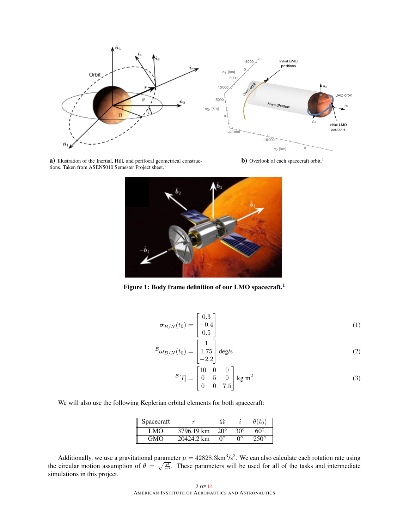<span id="page-1-0"></span>

a) Illustration of the Inertial, Hill, and perifocal geometrical construc-tions. Taken from ASEN50[1](#page-9-0)0 Semester Project sheet.<sup>1</sup>

<span id="page-1-2"></span><span id="page-1-1"></span>b) Overlook of each spacecraft orbit.<sup>[1](#page-9-0)</sup>



Figure [1](#page-9-0): Body frame definition of our LMO spacecraft.<sup>1</sup>

$$
\boldsymbol{\sigma}_{B/N}(t_0) = \begin{bmatrix} 0.3\\ -0.4\\ 0.5 \end{bmatrix} \tag{1}
$$

$$
{}^B\boldsymbol{\omega}_{B/N}(t_0) = \begin{bmatrix} 1\\1.75\\-2.2 \end{bmatrix} \text{deg/s}
$$
 (2)

$$
B[I] = \begin{bmatrix} 10 & 0 & 0 \\ 0 & 5 & 0 \\ 0 & 0 & 7.5 \end{bmatrix} \text{ kg m}^2
$$
 (3)

We will also use the following Keplerian orbital elements for both spacecraft:

| Spacecraft |            |              |            |             |
|------------|------------|--------------|------------|-------------|
| LMO        | 3796.19 km | $20^{\circ}$ | $30^\circ$ | $60^\circ$  |
| GMO        | 20424.2 km | ∩∘           | ∩∘         | $250^\circ$ |

Additionally, we use a gravitational parameter  $\mu = 42828.3 \text{km}^3/\text{s}^2$ . We can also calculate each rotation rate using the circular motion assumption of  $\dot{\theta} = \sqrt{\frac{\mu}{r^3}}$ . These parameters will be used for all of the tasks and intermediate simulations in this project.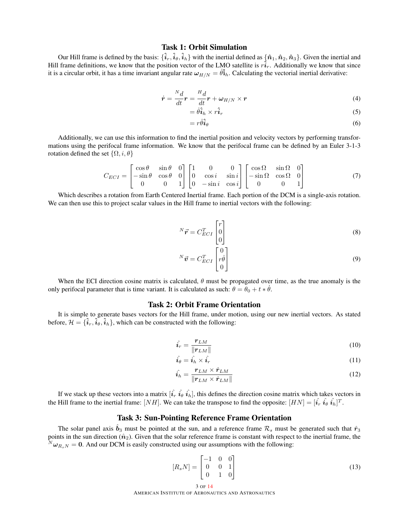## Task 1: Orbit Simulation

Our Hill frame is defined by the basis:  $\{\hat{i}_r, \hat{i}_\theta, \hat{i}_h\}$  with the inertial defined as  $\{\hat{n}_1, \hat{n}_2, \hat{n}_3\}$ . Given the inertial and Hill frame definitions, we know that the position vector of the LMO satellite is  $r\hat{i}_r$ . Additionally we know that since it is a circular orbit, it has a time invariant angular rate  $\omega_{H/N} = \hat{\theta}_{h}$ . Calculating the vectorial inertial derivative:

$$
\dot{\boldsymbol{r}} = \frac{N_d}{dt}\boldsymbol{r} = \frac{H_d}{dt}\boldsymbol{r} + \boldsymbol{\omega}_{H/N} \times \boldsymbol{r}
$$
\n(4)

$$
= \dot{\theta} \hat{i}_h \times r \hat{i}_r \tag{5}
$$

$$
= r\dot{\theta}\hat{i}_{\theta} \tag{6}
$$

Additionally, we can use this information to find the inertial position and velocity vectors by performing transformations using the perifocal frame information. We know that the perifocal frame can be defined by an Euler 3-1-3 rotation defined the set  $\{\Omega, i, \theta\}$ 

$$
C_{ECI} = \begin{bmatrix} \cos\theta & \sin\theta & 0 \\ -\sin\theta & \cos\theta & 0 \\ 0 & 0 & 1 \end{bmatrix} \begin{bmatrix} 1 & 0 & 0 \\ 0 & \cos i & \sin i \\ 0 & -\sin i & \cos i \end{bmatrix} \begin{bmatrix} \cos\Omega & \sin\Omega & 0 \\ -\sin\Omega & \cos\Omega & 0 \\ 0 & 0 & 1 \end{bmatrix}
$$
(7)

Which describes a rotation from Earth Centered Inertial frame. Each portion of the DCM is a single-axis rotation. We can then use this to project scalar values in the Hill frame to inertial vectors with the following:

$$
{}^{N}\vec{r} = C_{ECI}^{T} \begin{bmatrix} r \\ 0 \\ 0 \end{bmatrix}
$$
 (8)

$$
N\vec{v} = C_{ECI}^T \begin{bmatrix} 0 \\ r\dot{\theta} \\ 0 \end{bmatrix}
$$
 (9)

When the ECI direction cosine matrix is calculated,  $\theta$  must be propagated over time, as the true anomaly is the only perifocal parameter that is time variant. It is calculated as such:  $\theta = \theta_0 + t * \dot{\theta}$ .

## Task 2: Orbit Frame Orientation

It is simple to generate bases vectors for the Hill frame, under motion, using our new inertial vectors. As stated before,  $\mathcal{H} = {\hat{i}_r, \hat{i}_\theta, \hat{i}_h}$ , which can be constructed with the following:

$$
\hat{i}_r = \frac{\boldsymbol{r}_{LM}}{\|\boldsymbol{r}_{LM}\|}\tag{10}
$$

$$
\hat{i}_{\theta} = \hat{i}_{h} \times \hat{i}_{r} \tag{11}
$$

$$
\hat{i}_h = \frac{\boldsymbol{r}_{LM} \times \dot{\boldsymbol{r}}_{LM}}{\|\boldsymbol{r}_{LM} \times \dot{\boldsymbol{r}}_{LM}\|}
$$
\n(12)

If we stack up these vectors into a matrix  $[\hat{i}_r \; \hat{i}_\theta \; \hat{i}_h]$ , this defines the direction cosine matrix which takes vectors in the Hill frame to the inertial frame: [NH]. We can take the transpose to find the opposite:  $[HN] = [\hat{i_r} \; \hat{i_\theta} \; \hat{i_h}]^T$ .

# Task 3: Sun-Pointing Reference Frame Orientation

The solar panel axis  $\vec{b}_3$  must be pointed at the sun, and a reference frame  $\mathcal{R}_s$  must be generated such that  $\hat{r}_3$ points in the sun direction  $(\hat{n}_2)$ . Given that the solar reference frame is constant with respect to the inertial frame, the  $N\omega_{R_sN} = 0$ . And our DCM is easily constructed using our assumptions with the following:

$$
[R_s N] = \begin{bmatrix} -1 & 0 & 0 \\ 0 & 0 & 1 \\ 0 & 1 & 0 \end{bmatrix}
$$
 (13)

3 OF [14](#page-13-0) AMERICAN INSTITUTE OF AERONAUTICS AND ASTRONAUTICS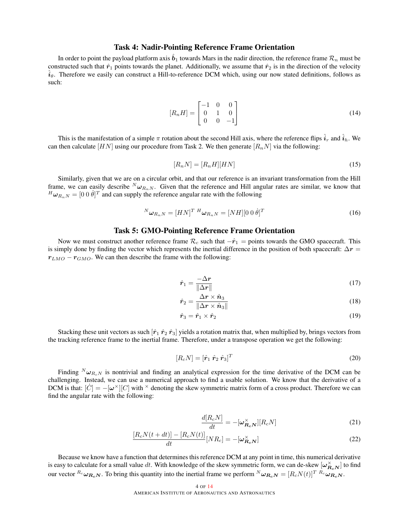### Task 4: Nadir-Pointing Reference Frame Orientation

In order to point the payload platform axis  $\hat{b}_1$  towards Mars in the nadir direction, the reference frame  $\mathcal{R}_n$  must be constructed such that  $\hat{r}_1$  points towards the planet. Additionally, we assume that  $\hat{r}_2$  is in the direction of the velocity  $\hat{i}_{\theta}$ . Therefore we easily can construct a Hill-to-reference DCM which, using our now stated definitions, follows as such:

$$
[R_n H] = \begin{bmatrix} -1 & 0 & 0 \\ 0 & 1 & 0 \\ 0 & 0 & -1 \end{bmatrix}
$$
 (14)

This is the manifestation of a simple  $\pi$  rotation about the second Hill axis, where the reference flips  $\hat{i}_r$  and  $\hat{i}_h$ . We can then calculate [HN] using our procedure from Task 2. We then generate [ $R_nN$ ] via the following:

$$
[R_n N] = [R_n H][HN] \tag{15}
$$

Similarly, given that we are on a circular orbit, and that our reference is an invariant transformation from the Hill frame, we can easily describe  $^N\omega_{R_nN}$ . Given that the reference and Hill angular rates are similar, we know that  ${}^H\boldsymbol{\omega}_{R_nN} = [0 \; 0 \; \dot{\theta}]^T$  and can supply the reference angular rate with the following

$$
{}^{N}\boldsymbol{\omega}_{R_nN} = [HN]^T \, {}^{H}\boldsymbol{\omega}_{R_nN} = [NH][0 \, 0 \, \dot{\theta}]^T \tag{16}
$$

## Task 5: GMO-Pointing Reference Frame Orientation

Now we must construct another reference frame  $\mathcal{R}_c$  such that  $-\hat{r}_1$  = points towards the GMO spacecraft. This is simply done by finding the vector which represents the inertial difference in the position of both spacecraft:  $\Delta r =$  $r_{LMO} - r_{GMO}$ . We can then describe the frame with the following:

$$
\hat{r}_1 = \frac{-\Delta r}{\|\Delta r\|} \tag{17}
$$

$$
\hat{r}_2 = \frac{\Delta r \times \hat{n}_3}{\|\Delta r \times \hat{n}_3\|} \tag{18}
$$

$$
\hat{\mathbf{r}}_3 = \hat{\mathbf{r}}_1 \times \hat{\mathbf{r}}_2 \tag{19}
$$

Stacking these unit vectors as such  $[\hat{r}_1 \hat{r}_2 \hat{r}_3]$  yields a rotation matrix that, when multiplied by, brings vectors from the tracking reference frame to the inertial frame. Therefore, under a transpose operation we get the following:

$$
[R_c N] = [\hat{r}_1 \ \hat{r}_2 \ \hat{r}_3]^T \tag{20}
$$

Finding  $N\omega_{Rc}$  is nontrivial and finding an analytical expression for the time derivative of the DCM can be challenging. Instead, we can use a numerical approach to find a usable solution. We know that the derivative of a DCM is that:  $[\dot{C}] = -[\omega^{\times}][C]$  with  $^{\times}$  denoting the skew symmetric matrix form of a cross product. Therefore we can find the angular rate with the following:

$$
\frac{d[R_cN]}{dt} = -[\boldsymbol{\omega}_{\boldsymbol{R}_c\boldsymbol{N}}^{\times}][R_cN]
$$
\n(21)

$$
\frac{[R_c N(t+dt)] - [R_c N(t)]}{dt} [NR_c] = -[\boldsymbol{\omega}_{\boldsymbol{R}_c N}^{\times}]
$$
\n(22)

Because we know have a function that determines this reference DCM at any point in time, this numerical derivative is easy to calculate for a small value  $dt.$  With knowledge of the skew symmetric form, we can de-skew  $[\omega^\times_{R_cN}]$  to find our vector  $^{R_c}\omega_{R_cN}$ . To bring this quantity into the inertial frame we perform  $^{N}\omega_{R_cN} = [R_cN(t)]^{T}{}^{R_c}\omega_{R_cN}$ .

#### 4 OF [14](#page-13-0)

AMERICAN INSTITUTE OF AERONAUTICS AND ASTRONAUTICS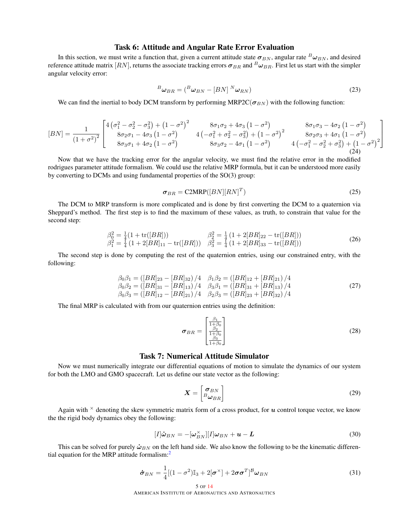### Task 6: Attitude and Angular Rate Error Evaluation

In this section, we must write a function that, given a current attitude state  $\sigma_{BN}$ , angular rate  $B\omega_{BN}$ , and desired reference attitude matrix  $[RN]$ , returns the associate tracking errors  $\sigma_{BR}$  and  $^B\omega_{BR}$ . First let us start with the simpler angular velocity error:

$$
{}^{B}\boldsymbol{\omega}_{BR} = ({}^{B}\boldsymbol{\omega}_{BN} - [BN] \, {}^{N}\boldsymbol{\omega}_{RN}) \tag{23}
$$

We can find the inertial to body DCM transform by performing MRP2C( $\sigma_{BN}$ ) with the following function:

$$
[BN] = \frac{1}{(1+\sigma^2)^2} \begin{bmatrix} 4\left(\sigma_1^2 - \sigma_2^2 - \sigma_3^2\right) + \left(1 - \sigma^2\right)^2 & 8\sigma_1\sigma_2 + 4\sigma_3\left(1 - \sigma^2\right) & 8\sigma_1\sigma_3 - 4\sigma_2\left(1 - \sigma^2\right) \\ 8\sigma_2\sigma_1 - 4\sigma_3\left(1 - \sigma^2\right) & 4\left(-\sigma_1^2 + \sigma_2^2 - \sigma_3^2\right) + \left(1 - \sigma^2\right)^2 & 8\sigma_2\sigma_3 + 4\sigma_1\left(1 - \sigma^2\right) \\ 8\sigma_3\sigma_1 + 4\sigma_2\left(1 - \sigma^2\right) & 8\sigma_3\sigma_2 - 4\sigma_1\left(1 - \sigma^2\right) & 4\left(-\sigma_1^2 - \sigma_2^2 + \sigma_3^2\right) + \left(1 - \sigma^2\right)^2 \end{bmatrix}
$$

Now that we have the tracking error for the angular velocity, we must find the relative error in the modified rodrigues parameter attitude formalism. We could use the relative MRP formula, but it can be understood more easily by converting to DCMs and using fundamental properties of the SO(3) group:

$$
\sigma_{BR} = \text{C2MRP}([BN][RN]^T) \tag{25}
$$

The DCM to MRP transform is more complicated and is done by first converting the DCM to a quaternion via Sheppard's method. The first step is to find the maximum of these values, as truth, to constrain that value for the second step:

$$
\begin{array}{ll}\n\beta_0^2 = \frac{1}{4} (1 + \text{tr}([BR])) & \beta_2^2 = \frac{1}{4} (1 + 2[BR]_{22} - \text{tr}([BR])) \\
\beta_1^2 = \frac{1}{4} (1 + 2[BR]_{11} - \text{tr}([BR])) & \beta_3^2 = \frac{1}{4} (1 + 2[BR]_{33} - \text{tr}([BR]))\n\end{array} \tag{26}
$$

The second step is done by computing the rest of the quaternion entries, using our constrained entry, with the following:

$$
\beta_0 \beta_1 = ([BR]_{23} - [BR]_{32})/4 \quad \beta_1 \beta_2 = ([BR]_{12} + [BR]_{21})/4 \n\beta_0 \beta_2 = ([BR]_{31} - [BR]_{13})/4 \quad \beta_3 \beta_1 = ([BR]_{31} + [BR]_{13})/4 \n\beta_0 \beta_3 = ([BR]_{12} - [BR]_{21})/4 \quad \beta_2 \beta_3 = ([BR]_{23} + [BR]_{32})/4
$$
\n(27)

The final MRP is calculated with from our quaternion entries using the definition:

$$
\boldsymbol{\sigma}_{BR} = \begin{bmatrix} \frac{\beta_1}{1+\beta_0} \\ \frac{\beta_2}{1+\beta_0} \\ \frac{\beta_3}{1+\beta_0} \end{bmatrix} \tag{28}
$$

# Task 7: Numerical Attitude Simulator

Now we must numerically integrate our differential equations of motion to simulate the dynamics of our system for both the LMO and GMO spacecraft. Let us define our state vector as the following:

$$
\boldsymbol{X} = \begin{bmatrix} \boldsymbol{\sigma}_{BN} \\ B_{\boldsymbol{\omega}_{BR}} \end{bmatrix} \tag{29}
$$

Again with  $\times$  denoting the skew symmetric matrix form of a cross product, for u control torque vector, we know the the rigid body dynamics obey the following:

$$
[I]\dot{\boldsymbol{\omega}}_{BN} = -[\boldsymbol{\omega}_{BN}^{\times}][I]\boldsymbol{\omega}_{BN} + \boldsymbol{u} - \boldsymbol{L}
$$
\n(30)

This can be solved for purely  $\dot{\omega}_{BN}$  on the left hand side. We also know the following to be the kinematic differential equation for the MRP attitude formalism: $<sup>2</sup>$  $<sup>2</sup>$  $<sup>2</sup>$ </sup>

$$
\dot{\boldsymbol{\sigma}}_{BN} = \frac{1}{4}[(1-\sigma^2)\mathbb{I}_3 + 2[\boldsymbol{\sigma}^{\times}] + 2\boldsymbol{\sigma}\boldsymbol{\sigma}^T]^B \boldsymbol{\omega}_{BN}
$$
\n(31)

5 OF [14](#page-13-0)

AMERICAN INSTITUTE OF AERONAUTICS AND ASTRONAUTICS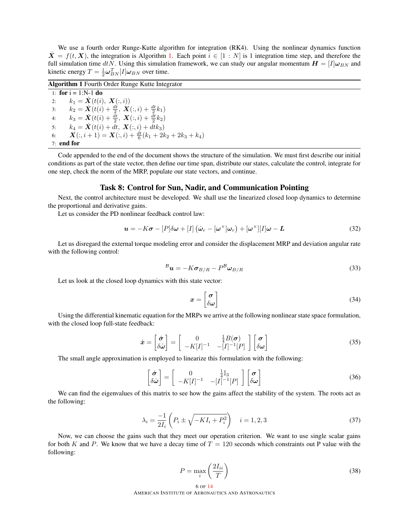We use a fourth order Runge-Kutte algorithm for integration (RK4). Using the nonlinear dynamics function  $\dot{\mathbf{X}} = f(t, \mathbf{X})$ , the integration is Algorithm [1.](#page-5-0) Each point  $i \in [1:N]$  is 1 integration time step, and therefore the full simulation time dtN. Using this simulation framework, we can study our angular momentum  $H = [I] \omega_{BN}$  and kinetic energy  $T = \frac{1}{2}\boldsymbol{\omega}_{BN}^T[I]\boldsymbol{\omega}_{BN}$  over time.

Algorithm 1 Fourth Order Runge Kutte Integrator

<span id="page-5-0"></span>1: for  $i = 1:N-1$  do 2:  $k_1 = \mathbf{X}(t(i), \mathbf{X}(:, i))$ 3:  $k_2 = \dot{\mathbf{X}}(t(i) + \frac{dt}{2}, \mathbf{X}(:,i) + \frac{dt}{2}k_1)$ 4:  $k_3 = \dot{\mathbf{X}}(t(i) + \frac{\bar{d}t}{2}, \mathbf{X}(:,i) + \frac{\bar{d}t}{2}k_2)$ 5:  $k_4 = \dot{\mathbf{X}}(t(i) + dt, \mathbf{X}(:, i) + dt_3)$ 6:  $\mathbf{X}(:, i+1) = \mathbf{X}(:, i) + \frac{dt}{6}(k_1 + 2k_2 + 2k_3 + k_4)$ 7: end for

Code appended to the end of the document shows the structure of the simulation. We must first describe our initial conditions as part of the state vector, then define our time span, distribute our states, calculate the control, integrate for one step, check the norm of the MRP, populate our state vectors, and continue.

#### Task 8: Control for Sun, Nadir, and Communication Pointing

Next, the control architecture must be developed. We shall use the linearized closed loop dynamics to determine the proportional and derivative gains.

Let us consider the PD nonlinear feedback control law:

$$
\boldsymbol{u} = -K\boldsymbol{\sigma} - [P]\delta\boldsymbol{\omega} + [I] (\dot{\boldsymbol{\omega}}_r - [\boldsymbol{\omega}^\times]\boldsymbol{\omega}_r) + [\boldsymbol{\omega}^\times][I]\boldsymbol{\omega} - \boldsymbol{L}
$$
\n(32)

Let us disregard the external torque modeling error and consider the displacement MRP and deviation angular rate with the following control:

$$
{}^{\mathcal{B}}\boldsymbol{u} = -K\boldsymbol{\sigma}_{B/R} - P^{\mathcal{B}}\boldsymbol{\omega}_{B/R}
$$
\n(33)

Let us look at the closed loop dynamics with this state vector:

$$
x = \begin{bmatrix} \sigma \\ \delta \omega \end{bmatrix} \tag{34}
$$

Using the differential kinematic equation for the MRPs we arrive at the following nonlinear state space formulation, with the closed loop full-state feedback:

$$
\dot{\boldsymbol{x}} = \begin{bmatrix} \dot{\boldsymbol{\sigma}} \\ \delta \dot{\boldsymbol{\omega}} \end{bmatrix} = \begin{bmatrix} 0 & \frac{1}{4} B(\boldsymbol{\sigma}) \\ -K[I]^{-1} & -[I]^{-1}[P] \end{bmatrix} \begin{bmatrix} \boldsymbol{\sigma} \\ \delta \boldsymbol{\omega} \end{bmatrix}
$$
(35)

The small angle approximation is employed to linearize this formulation with the following:

$$
\begin{bmatrix} \dot{\sigma} \\ \delta \dot{\omega} \end{bmatrix} = \begin{bmatrix} 0 & \frac{1}{4} \mathbb{I}_3 \\ -K[I]^{-1} & -[I]^{-1}[P] \end{bmatrix} \begin{bmatrix} \sigma \\ \delta \omega \end{bmatrix}
$$
(36)

We can find the eigenvalues of this matrix to see how the gains affect the stability of the system. The roots act as the following:

$$
\lambda_i = \frac{-1}{2I_i} \left( P_i \pm \sqrt{-KI_i + P_i^2} \right) \quad i = 1, 2, 3 \tag{37}
$$

Now, we can choose the gains such that they meet our operation criterion. We want to use single scalar gains for both K and P. We know that we have a decay time of  $T = 120$  seconds which constraints out P value with the following:

$$
P = \max_{i} \left( \frac{2I_{ii}}{T} \right) \tag{38}
$$

$$
6
$$
 of  $14$    
\n $4$    
\n $4$    
\n $4$    
\n $5$    
\n $5$    
\n $5$    
\n $4$    
\n $5$    
\n $5$    
\n $5$    
\n $5$    
\n $5$    
\n $5$    
\n $5$    
\n $5$    
\n $5$    
\n $5$    
\n $6$    
\n $6$    
\n $6$    
\n $6$    
\n $6$    
\n $6$    
\n $6$    
\n $6$    
\n $6$    
\n $6$    
\n $6$    
\n $6$    
\n $6$    
\n $6$    
\n $6$    
\n $6$    
\n $6$    
\n $6$    
\n $6$    
\n $6$    
\n $6$    
\n $6$    
\n $6$    
\n $6$    
\n $6$    
\n $6$    
\n $6$    
\n $6$    
\n $6$    
\n $6$    
\n $6$    
\n $6$    
\n $6$    
\n $6$    
\n $6$    
\n $6$  <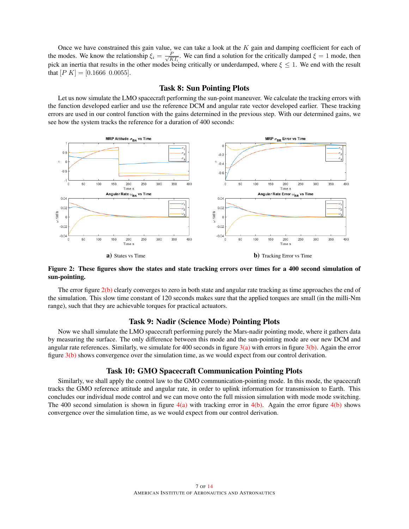Once we have constrained this gain value, we can take a look at the  $K$  gain and damping coefficient for each of the modes. We know the relationship  $\xi_i = \frac{P}{\sqrt{K}}$  $\frac{P}{KT_i}$ . We can find a solution for the critically damped  $\xi = 1$  mode, then pick an inertia that results in the other modes being critically or underdamped, where  $\xi \leq 1$ . We end with the result that  $[P K] = [0.1666 \ 0.0055]$ .

### Task 8: Sun Pointing Plots

Let us now simulate the LMO spacecraft performing the sun-point maneuver. We calculate the tracking errors with the function developed earlier and use the reference DCM and angular rate vector developed earlier. These tracking errors are used in our control function with the gains determined in the previous step. With our determined gains, we see how the system tracks the reference for a duration of 400 seconds:



Figure 2: These figures show the states and state tracking errors over times for a 400 second simulation of sun-pointing.

The error figure [2\(b\)](#page-6-0) clearly converges to zero in both state and angular rate tracking as time approaches the end of the simulation. This slow time constant of 120 seconds makes sure that the applied torques are small (in the milli-Nm range), such that they are achievable torques for practical actuators.

## <span id="page-6-0"></span>Task 9: Nadir (Science Mode) Pointing Plots

Now we shall simulate the LMO spacecraft performing purely the Mars-nadir pointing mode, where it gathers data by measuring the surface. The only difference between this mode and the sun-pointing mode are our new DCM and angular rate references. Similarly, we simulate for 400 seconds in figure  $3(a)$  with errors in figure  $3(b)$ . Again the error figure [3\(b\)](#page-7-1) shows convergence over the simulation time, as we would expect from our control derivation.

### Task 10: GMO Spacecraft Communication Pointing Plots

Similarly, we shall apply the control law to the GMO communication-pointing mode. In this mode, the spacecraft tracks the GMO reference attitude and angular rate, in order to uplink information for transmission to Earth. This concludes our individual mode control and we can move onto the full mission simulation with mode mode switching. The 400 second simulation is shown in figure  $4(a)$  with tracking error in  $4(b)$ . Again the error figure  $4(b)$  shows convergence over the simulation time, as we would expect from our control derivation.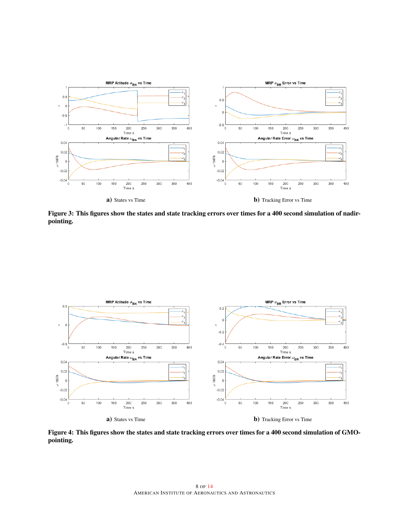<span id="page-7-0"></span>

<span id="page-7-1"></span>Figure 3: This figures show the states and state tracking errors over times for a 400 second simulation of nadirpointing.

<span id="page-7-2"></span>

<span id="page-7-3"></span>Figure 4: This figures show the states and state tracking errors over times for a 400 second simulation of GMOpointing.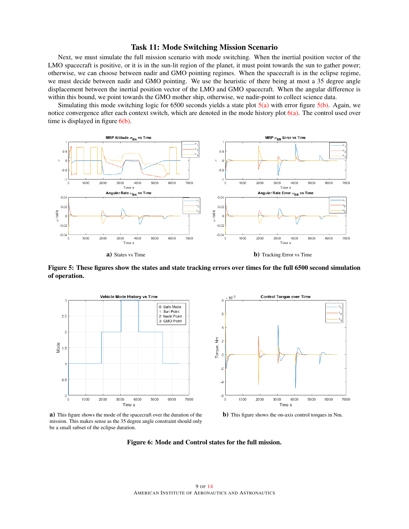#### Task 11: Mode Switching Mission Scenario

Next, we must simulate the full mission scenario with mode switching. When the inertial position vector of the LMO spacecraft is positive, or it is in the sun-lit region of the planet, it must point towards the sun to gather power; otherwise, we can choose between nadir and GMO pointing regimes. When the spacecraft is in the eclipse regime, we must decide between nadir and GMO pointing. We use the heuristic of there being at most a 35 degree angle displacement between the inertial position vector of the LMO and GMO spacecraft. When the angular difference is within this bound, we point towards the GMO mother ship, otherwise, we nadir-point to collect science data.

Simulating this mode switching logic for 6500 seconds yields a state plot  $5(a)$  with error figure  $5(b)$ . Again, we notice convergence after each context switch, which are denoted in the mode history plot  $6(a)$ . The control used over time is displayed in figure  $6(b)$ .

<span id="page-8-0"></span>

Figure 5: These figures show the states and state tracking errors over times for the full 6500 second simulation of operation.

<span id="page-8-2"></span>

<span id="page-8-1"></span>

a) This figure shows the mode of the spacecraft over the duration of the mission. This makes sense as the 35 degree angle constraint should only be a small subset of the eclipse duration.

<span id="page-8-3"></span>b) This figure shows the on-axis control torques in Nm.

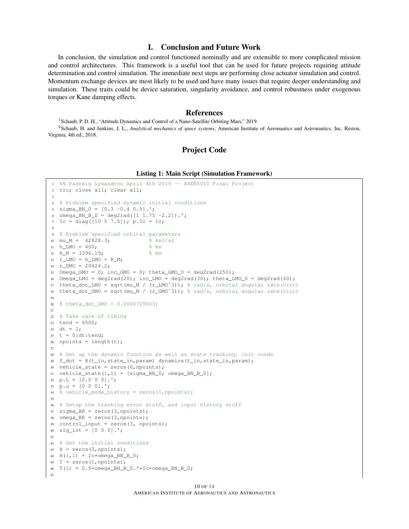# I. Conclusion and Future Work

In conclusion, the simulation and control functioned nominally and are extensible to more complicated mission and control architectures. This framework is a useful tool that can be used for future projects requiring attitude determination and control simulation. The immediate next steps are performing close actuator simulation and control. Momentum exchange devices are most likely to be used and have many issues that require deeper understanding and simulation. These traits could be device saturation, singularity avoidance, and control robustness under exogenous torques or Kane damping effects.

#### References

<span id="page-9-1"></span><span id="page-9-0"></span><sup>1</sup> Schaub, P. D. H., "Attitude Dynamics and Control of a Nano-Satellite Orbiting Mars," 2019. <sup>2</sup>Schaub, H. and Junkins, J. L., *Analytical mechanics of space systems*, American Institute of Aeronautics and Astronautics, Inc, Reston, Virginia, 4th ed., 2018.

#### Project Code

#### Listing 1: Main Script (Simulation Framework)

```
1 %% Padraig Lysandrou April 4th 2019 -- ASEN5010 Final Project
2 clc; close all; clear all;
 3
4 % Problem specified dynamic initial conditions
5 sigma_BN_0 = [0.3 -0.4 0.5].';
6 omega_BN_B_0 = deg2rad([1 1.75 -2.2]).';
7 Ic = diag([10 5 7.5]); p.Ic = Ic;
 8
9 % Problem specified orbital parameters
10 mu_M = 42828.3; % km3/s2
11 h_LMO = 400; % km
12 R_M = 3396.19; % km
13 r LMO = h LMO + R M;
14 r_GMO = 20424.2;15 Omega_GMO = 0; inc_GMO = 0; theta_GMO_0 = deg2rad(250);
16 Omega_LMO = deg2rad(20); inc\_LMO = deg2rad(30); theta\_LMO_0 = deg2rad(60);
17 theta_dot_LMO = sqrt(mu_M / (r_LMOˆ3)); % rad/s, orbital angular rate(circ)
18 theta_dot_GMO = sqrt(mu_M / (r_GMO^3)); \frac{1}{6} rad/s, orbital angular rate(circ)
19
20 % theta_dot_GMO = 0.0000709003;
21
22 % Take care of timing
23 tend = 6500;24 dt = 1:
25 \text{ t} = 0: dt: tend;
26 npoints = length(t);
2728 % Set up the dynamic function as well as state tracking, init conds
29 f_dot = @(t_in,state_in,param) dynamics(t_in,state_in,param);
30 vehicle_state = zeros(6,npoints);
31 vehicle_state(:,1) = [sigma_BBN_0; omega_BN_B_0];32 \text{ p.L} = [0.0 0 0].';
33 p.u = [0 0 0].';
34 % vehicle_mode_history = zeros(1,npoints);
35
36 % Setup the tracking error stuff, and input history stuff
37 \text{ sigma\_BR} = \text{zeros}(3, \text{npoints});38 omega_BR = zeros(3, npoints);
39 control_input = zeros(3, npoints);
40 sig_int = [0 0 0].';
41
42 % Set the initial conditions
43 H = zeros(3, npoints);44 H(:, 1) = Ic*omega_BN_B_0;
45 T = zeros(1, npoints);46 T(1) = 0.5*omega_BN_B_0.'*Ic*omega_BN_B_0;
47
```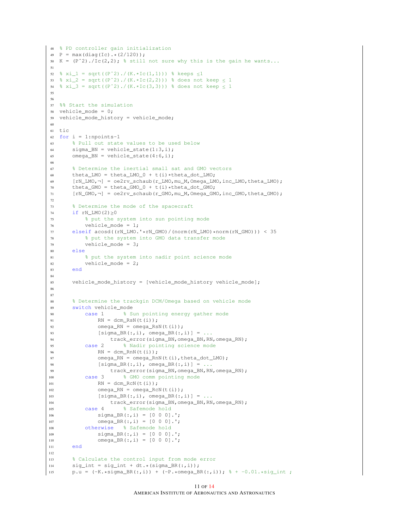```
48 % PD controller gain initialization
49 P = max(diaq(IC) .*(2/120));50 K = (P^2)./Ic(2,2); % still not sure why this is the gain he wants...
51
52 % xi_1 = sqrt((P^2)./(K.*Ic(1,1))) % keeps \leq 153 % xi_2 = sqrt((P^2)./(K.*Ic(2,2))) % does not keep \leq 154 % xi_3 = sqrt((P^2)./(K.*Ic(3,3))) % does not keep \leq 155
56
57 %% Start the simulation
58 vehicle_mode = 0;
59 vehicle_mode_history = vehicle_mode;
60
61 tic
62 for i = 1:npoints-1
63 % Pull out state values to be used below
64 sigma_BN = vehicle_state(1:3,i);
65 omega_BN = vehicle_state(4:6, i);
66
67 % Determine the inertial small sat and GMO vectors
68 theta_LMO = theta_LMO_0 + t(i)*theta_dot_LMO;
69 [rN_LMO,¬] = oe2rv_schaub(r_LMO,mu_M,Omega_LMO,inc_LMO,theta_LMO);
70 theta_GMO = theta_GMO_0 + t(i)*theta_dot_GMO;<br>71 [rN GMO,\neg] = oe2rv schaub(r GMO,mu M,Omega GM
       [rN_GMO, \neg] = oe2rv_Schaub(r_GMO, mu_M,Omega_GMO, inc_GMO,theta_GMO);72
73 % Determine the mode of the spacecraft
74 if rN_LMO(2) \ge 075 % put the system into sun pointing mode
76 vehicle_mode = 1;
77 elseif acosd((rN_LMO.^*rN_GMO)/(norm(rN_LMO)*norm(rN_GMO))) < 35<br>78 \frac{2}{3} put the system into GMO data transfer mode
           78 % put the system into GMO data transfer mode
79 vehicle_mode = 3;
80 else
81 % put the system into nadir point science mode
82 vehicle_mode = 2;
83 end
84
85 vehicle_mode_history = [vehicle_mode_history vehicle_mode];
86
87
88 % Determine the trackgin DCM/Omega based on vehicle mode
89 switch vehicle_mode
90 case 1 % Sun pointing energy gather mode
\begin{array}{lll} \texttt{RN} & = & \texttt{dcm\_RsN(t(i));} \end{array}92 omega_RN = omega_RsN(t(i));
93 [sigma_BR(:,i), \text{omega_BR(:,i)] = ...94 track_error(sigma_BN,omega_BN,RN,omega_RN);
95 case 2 % Nadir pointing science mode
96 RN = dcm_RnN(t(i));
97 omega_RN = omega_RnN(t(i), theta_dot_LMO);
98 [sigma_BR(:,i), \text{omega_BR(:,i)] = ...99 track_error(sigma_BN,omega_BN,RN,omega_RN);
100 case 3 % GMO comm pointing mode
{\rm RN} \ = \ {\rm dcm\_RCN \ (t \ (i)\ )} \ ;102 omega_RN = omega_RcN(t(i));
103 [sigma_BR(:,i), \text{omega_BR(:,i)] = ...104 track error(sigma BN,omega BN,RN,omega RN);
105 case 4 % Safemode hold
106 sigma_BR(:,i) = [0 0 0].';
107 omega_BR(:, i) = [0 0 0].';
108 otherwise % Safemode hold
109 sigma_BR(:, i) = [0 0 0].';
110 omega_BR(:, i) = [0 \ 0 \ 0].';
111 end
112
113 % Calculate the control input from mode error
114 sig\_int = sig\_int + dt.*(sigma\_BR(:,i));115 p.u = (-K.*sigma_BBR(:,i)) + (-P.*omega_BLBR(:,i)); % + -0.01.*sig_info;
```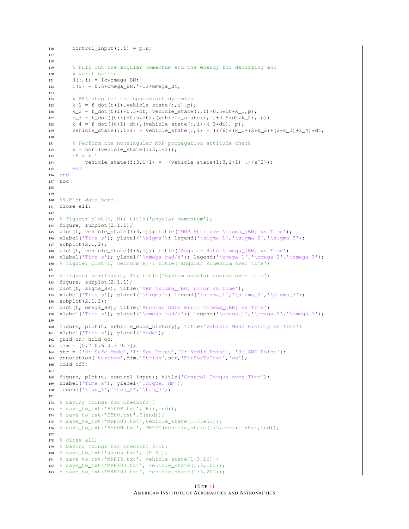```
116 control_input(:, i) = p.u;
117
118
119 % Pull out the angular momentum and the energy for debugging and
120 % verification
121 H(:,i) = Ic*omega BN:
122 T(i) = 0.5*omega BN.'*Ic*omega BN;
123
124 % RK4 step for the spacecraft dynamics
125 k_1 = f_{dot}(t(i), vehicle_{state}(:, i), p);126 k_2 = f_dot(t(i)+0.5*dt, vehicle_state(:,i)+0.5*dt*k_1,p);127 k_3 = f_dot((t(i)+0.5*dt), (wehicle_state(:,i)+0.5*dt*k_2), p);
128 k_4 = f_{dot}((t(i)+dt), (vehicle_state(:,i)+k_3*dt), p);129 vehicle_state(:,i+1) = vehicle_state(:,i) + (1/6)*(k_1+(2*k_2)+(2*k_3)+k_4)*dt;
130
131 % Perform the nonsingular MRP propagation attitude check
132 s = norm(vehicle_state(1:3, i+1));
133 if s > 1
134 vehicle_state(1:3,i+1) = -(vehicle_state(1:3,i+1) ./(s<sup>^2</sup>));
135 end
136 end
137 toc
138
139
140 %% Plot data here.
141 close all;
142
143 % figure; plot(t, H); title('angular momentum');
144 figure; subplot(2,1,1);
145 plot(t, vehicle_state(1:3,:)); title('MRP Attitude \sigma_{BN} vs Time');
146 xlabel('Time s'); ylabel('\sigma'); legend('\sigma_1','\sigma_2','\sigma_3');
147 subplot(2,1,2);
148 plot(t, vehicle_state(4:6,:)); title('Angular Rate \omega_{BN} vs Time')
149 xlabel('Time s'); ylabel('\omega rad/s'); legend('\omega_1','\omega_2','\omega_3');
150 % figure; plot(t, vecnorm(H)); title('Angular Momentum over time')
151
152 % figure; semilogy(t, T); title('system angular energy over time')
153 figure; subplot(2,1,1);
154 plot(t, sigma_BR); title('MRP \sigma_{BR} Error vs Time');
155 xlabel('Time s'); ylabel('\sigma'); legend('\sigma_1','\sigma_2','\sigma_3');
156 subplot(2,1,2);
157 plot(t, omega_BR); title('Angular Rate Error \omega_{BR} vs Time')
158 xlabel('Time s'); ylabel('\omega rad/s'); legend('\omega_1','\omega_2','\omega_3');
159
160 figure; plot(t, vehicle_mode_history); title('Vehicle Mode History vs Time')
161 xlabel('Time s'); ylabel('Mode');
162 grid on; hold on;
163 dim = [0.7 0.6 0.3 0.3];
164 str = {'0: Safe Mode','1: Sun Point','2: Nadir Point', '3: GMO Point'};
165 annotation('textbox',dim,'String',str,'FitBoxToText','on');
166 hold off;
167
168 figure; plot(t, control_input); title('Control Torque over Time');
169 xlabel('Time s'); ylabel('Torque, Nm');
170 legend('\tau_1','\tau_2','\tau_3');
171
172 % Saving things for Checkoff 7
173 % save_to_txt('H500B.txt', H(:,end));
174 % save_to_txt('T500.txt',T(end));
175 % save_to_txt('MRP500.txt',vehicle_state(1:3,end));
176 % save_to_txt('H500N.txt', MRP2C(vehicle_state(1:3,end)).'*H(:,end));
177
178 % close all;
179 % Saving things for Checkoff 8-10:
180 % save_to_txt('gains.txt', [P K]);
181 % save_to_txt('MRP15.txt', vehicle_state(1:3,16));
182 % save_to_txt('MRP100.txt', vehicle_state(1:3,101));
183 % save_to_txt('MRP200.txt', vehicle_state(1:3,201));
```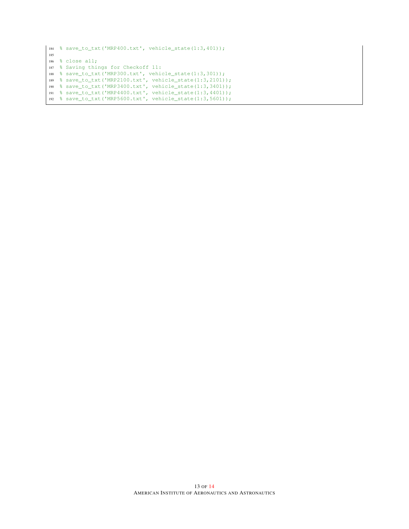```
184 % save_to_txt('MRP400.txt', vehicle_state(1:3,401));
185
186 % close all;
187 % Saving things for Checkoff 11:
188 % save_to_txt('MRP300.txt', vehicle_state(1:3,301));
189 % save_to_txt('MRP2100.txt', vehicle_state(1:3,2101));
190 % save_to_txt('MRP3400.txt', vehicle_state(1:3,3401));
191 % save_to_txt('MRP4400.txt', vehicle_state(1:3,4401));
192 % save_to_txt('MRP5600.txt', vehicle_state(1:3,5601));
```